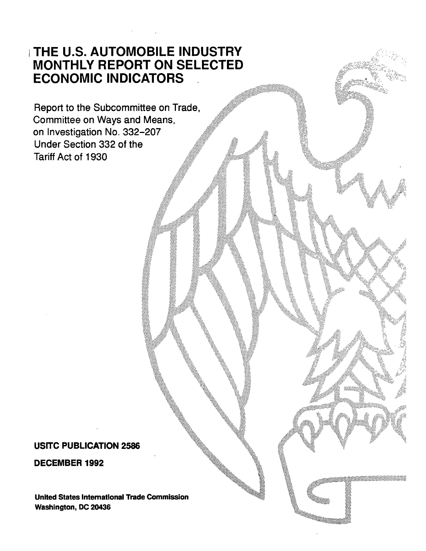# **THE U.S. AUTOMOBILE INDUSTRY** MONTHLY REPORT ON SELECTED ECONOMIC INDICATORS

Report to the Subcommittee on Trade, Committee on Ways and Means, on Investigation No. 332-207 Under Section 332 of the Tariff Act of 1930

## USITC PUBLICATION 2586

## DECEMBER 1992

United States lntematlonal Trade Commission Washington, DC 20436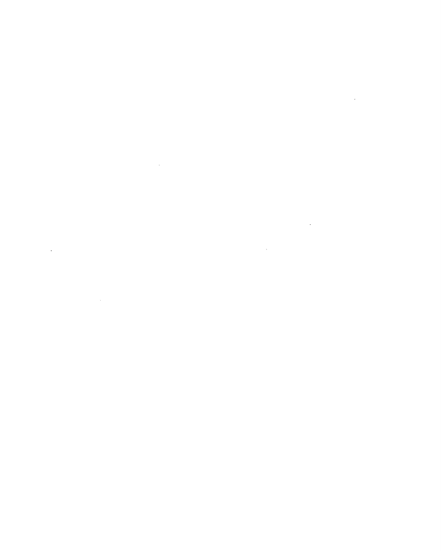$\label{eq:2.1} \frac{1}{\sqrt{2}}\int_{\mathbb{R}^3}\frac{1}{\sqrt{2}}\left(\frac{1}{\sqrt{2}}\right)^2\frac{1}{\sqrt{2}}\left(\frac{1}{\sqrt{2}}\right)^2\frac{1}{\sqrt{2}}\left(\frac{1}{\sqrt{2}}\right)^2\frac{1}{\sqrt{2}}\left(\frac{1}{\sqrt{2}}\right)^2.$ 

 $\label{eq:2.1} \frac{1}{\sqrt{2}}\int_{\mathbb{R}^3}\frac{1}{\sqrt{2}}\left(\frac{1}{\sqrt{2}}\right)^2\frac{1}{\sqrt{2}}\left(\frac{1}{\sqrt{2}}\right)^2\frac{1}{\sqrt{2}}\left(\frac{1}{\sqrt{2}}\right)^2\frac{1}{\sqrt{2}}\left(\frac{1}{\sqrt{2}}\right)^2.$ 

 $\label{eq:2.1} \frac{1}{\sqrt{2}}\left(\frac{1}{\sqrt{2}}\right)^{2} \left(\frac{1}{\sqrt{2}}\right)^{2} \left(\frac{1}{\sqrt{2}}\right)^{2} \left(\frac{1}{\sqrt{2}}\right)^{2} \left(\frac{1}{\sqrt{2}}\right)^{2} \left(\frac{1}{\sqrt{2}}\right)^{2} \left(\frac{1}{\sqrt{2}}\right)^{2} \left(\frac{1}{\sqrt{2}}\right)^{2} \left(\frac{1}{\sqrt{2}}\right)^{2} \left(\frac{1}{\sqrt{2}}\right)^{2} \left(\frac{1}{\sqrt{2}}\right)^{2} \left(\$  $\mathcal{A}^{\text{max}}_{\text{max}}$  and  $\mathcal{A}^{\text{max}}_{\text{max}}$ 

 $\label{eq:2.1} \frac{1}{\sqrt{2}}\left(\frac{1}{\sqrt{2}}\right)^{2} \left(\frac{1}{\sqrt{2}}\right)^{2} \left(\frac{1}{\sqrt{2}}\right)^{2} \left(\frac{1}{\sqrt{2}}\right)^{2} \left(\frac{1}{\sqrt{2}}\right)^{2} \left(\frac{1}{\sqrt{2}}\right)^{2} \left(\frac{1}{\sqrt{2}}\right)^{2} \left(\frac{1}{\sqrt{2}}\right)^{2} \left(\frac{1}{\sqrt{2}}\right)^{2} \left(\frac{1}{\sqrt{2}}\right)^{2} \left(\frac{1}{\sqrt{2}}\right)^{2} \left(\$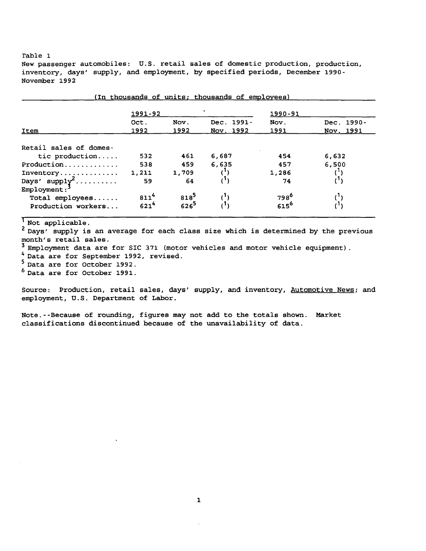rable 1

New passenger automobiles: U.S. retail sales of domestic production, production, inventory, days' supply, and employment, by specified periods, December 1990- November 1992

|                                | 1991-92          |           | 1990-91    |                               |            |
|--------------------------------|------------------|-----------|------------|-------------------------------|------------|
|                                | Oct.             | Nov.      | Dec. 1991- | Nov.                          | Dec. 1990- |
| Item                           | 1992             | 1992      | Nov. 1992  | 1991                          | Nov. 1991  |
| Retail sales of domes-         |                  |           |            |                               |            |
| tic production                 | 532              | 461       | 6,687      | 454                           | 6,632      |
| Production                     | 538              | 459       | 6,635      | 457                           | 6,500      |
| Inventory                      | 1,211            | 1,709     |            | 1,286                         |            |
| Days' $\text{supp1y}^2$        | 59               | 64        |            | 74                            |            |
| Employment:<br>Total employees | 811 <sup>4</sup> | $818^{5}$ |            | $798^{6}$<br>615 <sup>6</sup> |            |
| Production workers             | $621^{4}$        | $626^{5}$ |            |                               |            |

Not applicable.<br><sup>2</sup> Days' supply is an average for each class size which is determined by the previous month's retail sales.

<sup>3</sup> Employment data are for SIC 371 (motor vehicles and motor vehicle equipment).<br><sup>4</sup> Data are for September 1992, revised.

5 Data are for October 1992.

6 Data are for October 1991.

Source: Production, retail sales, days' supply, and inventory, Automotive News; and employment, U.S. Department of Labor.

Note.--Because of rounding, figures may not add to the totals shown. Market classifications discontinued because of the unavailability of data.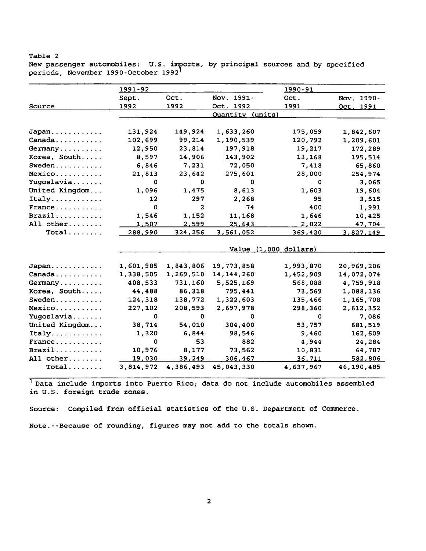New passenger automobiles: U.S. imports, by principal sources and by specified periods, November 1990-0ctober 1992

|                                     | 1991-92       |           |                  | 1990-91               |                  |  |  |
|-------------------------------------|---------------|-----------|------------------|-----------------------|------------------|--|--|
|                                     | Sept.         | Oct.      | Nov. 1991-       | Oct.                  | Nov. 1990-       |  |  |
| Source                              | <u> 1992 </u> | 1992      | <u>Oct. 1992</u> | 1991                  | Oct. 1991        |  |  |
|                                     |               |           | Quantity (units) |                       |                  |  |  |
|                                     |               |           |                  |                       |                  |  |  |
| Japan                               | 131,924       | 149,924   | 1,633,260        | 175,059               | 1,842,607        |  |  |
| Canada                              | 102,699       | 99,214    | 1,190,539        | 120,792               | 1,209,601        |  |  |
| Germany                             | 12,950        | 23,814    | 197,918          | 19,217                | 172,289          |  |  |
| Korea, South                        | 8,597         | 14,906    | 143,902          | 13,168                | 195,514          |  |  |
| Sweden                              | 6,846         | 7,231     | 72,050           | 7,418                 | 65,860           |  |  |
| Mexico                              | 21,813        | 23,642    | 275,601          | 28,000                | 254,974          |  |  |
| Yugoslavia                          | 0             | 0         | 0                | 0                     | 3,065            |  |  |
| United Kingdom                      | 1,096         | 1,475     | 8,613            | 1,603                 | 19,604           |  |  |
| Italy                               | 12            | 297       | 2,268            | 95                    | 3,515            |  |  |
| $France \ldots \ldots \ldots$       | 0             | 2         | 74               | 400                   | 1,991            |  |  |
| $Brazil$                            | 1,546         | 1,152     | 11,168           | 1,646                 | 10,425           |  |  |
| All other                           | 1,507         | 2,599     | 25,643           | 2,022                 | <u>47,704</u>    |  |  |
| Total                               | 288,990       | 324,256   | 3,561,052        | 369,420               | <u>3,827,149</u> |  |  |
|                                     |               |           |                  | Value (1,000 dollars) |                  |  |  |
|                                     |               |           |                  |                       |                  |  |  |
| Japan                               | 1,601,985     | 1,843,806 | 19,773,858       | 1,993,870             | 20,969,206       |  |  |
| Canada.                             | 1,338,505     | 1,269,510 | 14, 144, 260     | 1,452,909             | 14,072,074       |  |  |
| Germany                             | 408,533       | 731,160   | 5,525,169        | 568,088               | 4,759,918        |  |  |
| Korea, South                        | 44,488        | 86,318    | 795,441          | 73,569                | 1,088,136        |  |  |
| $S$ weden                           | 124,318       | 138,772   | 1,322,603        | 135,466               | 1,165,708        |  |  |
| Mexico                              | 227,102       | 208,593   | 2,697,978        | 298,360               | 2,612,352        |  |  |
| Yugoslavia                          | 0             | 0         | 0                | 0                     | 7,086            |  |  |
| United Kingdom                      | 38,714        | 54,010    | 304,400          | 53,757                | 681,519          |  |  |
| $Itally$                            | 1,320         | 6,844     | 98,546           | 9,460                 | 162,609          |  |  |
| France                              | $\mathbf 0$   | 53        | 882              | 4,944                 | 24,284           |  |  |
| $\texttt{Brazil} \dots \dots \dots$ | 10,976        | 8,177     | 73,562           | 10,831                | 64,787           |  |  |
| All other                           | 19,030        | 39,249    | 306,467          | 36,711                | 582,806          |  |  |
| $Total$                             | 3,814,972     | 4,386,493 | 45,043,330       | 4,637,967             | 46,190,485       |  |  |

Data include imports into Puerto Rico; data do not include automobiles assembled in U.S. foreign trade zones.

Source: Compiled from official statistics of the U.S. Department of Commerce. Note.--Because of rounding, figures may not add to the totals shown.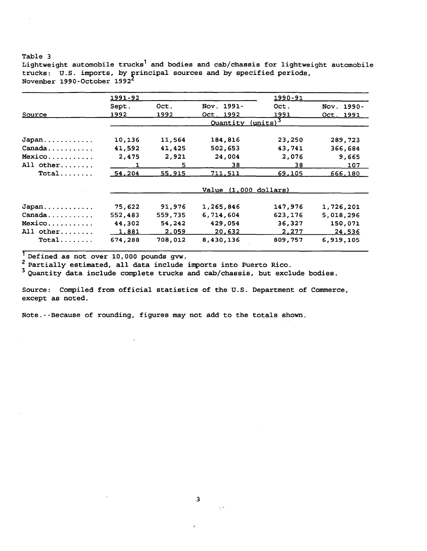Table 3 Lightweight automobile  $trucks<sup>1</sup>$  and bodies and cab/chassis for lightweight automobile trucks: U.S. imports, by principal sources and by specified periods, November 1990-0ctober 1992

|           | 1991-92                |         |            | 1990-91 |                  |  |  |  |
|-----------|------------------------|---------|------------|---------|------------------|--|--|--|
|           | Sept.                  | Oct.    | Nov. 1991- | Oct.    | Nov. 1990-       |  |  |  |
| Source    | 1992                   | 1992    | Oct. 1992  | 1991    | <u>Oct.</u> 1991 |  |  |  |
|           | $(mits)^3$<br>Ouantity |         |            |         |                  |  |  |  |
| Japan     | 10,136                 | 11,564  | 184,816    | 23,250  | 289,723          |  |  |  |
| $Canada$  | 41,592                 | 41,425  | 502,653    | 43,741  | 366,684          |  |  |  |
| Mexico    | 2,475                  | 2,921   | 24,004     | 2,076   | 9,665            |  |  |  |
| All other | 1                      | 5       | 38         | 38      | 107              |  |  |  |
| $Total$   | 54,204                 | 55,915  | 711,511    | 69,105  | 666,180          |  |  |  |
|           | Value (1,000 dollars)  |         |            |         |                  |  |  |  |
| Japan     | 75,622                 | 91,976  | 1,265,846  | 147,976 | 1,726,201        |  |  |  |
| Canada    | 552,483                | 559,735 | 6,714,604  | 623,176 | 5,018,296        |  |  |  |
| Mexico    | 44,302                 | 54,242  | 429,054    | 36,327  | 150,071          |  |  |  |
| All other | 1,881                  | 2,059   | 20,632     | 2,277   | 24,536           |  |  |  |
| $Total$   | 674,288                | 708,012 | 8,430,136  | 809,757 | 6,919,105        |  |  |  |

<sup>1</sup> Defined as not over 10,000 pounds gvw.<br><sup>2</sup> Partially estimated, all data include imports into Puerto Rico.

<sup>3</sup> Quantity data include complete trucks and cab/chassis, but exclude bodies.

Source: Compiled from official statistics of the U.S. Department of Commerce, except as noted.

Note.--Because of rounding, figures may not add to the totals shown.

 $\zeta$   $^8$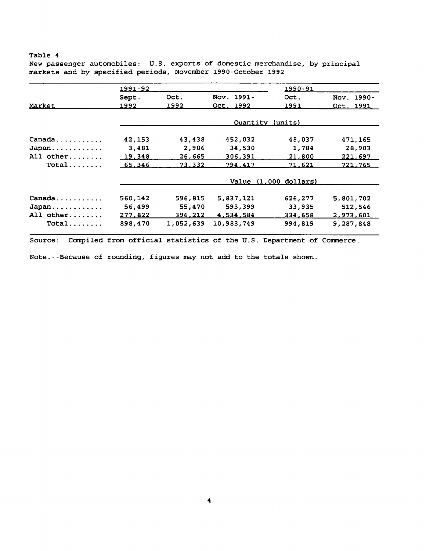Table 4 New passenger automobiles: U.S. exports of domestic merchandise, by principal markets and by specified periods, November 1990-0ctober 1992

|           | 1991-92 |               |                  | 1990-91               |            |
|-----------|---------|---------------|------------------|-----------------------|------------|
|           | Sept.   | Oct.          | Nov. 1991-       | Oct.                  | Nov. 1990- |
| Market    | 1992    | <u> 1992 </u> | Oct. 1992        | 1991                  | Oct. 1991  |
|           |         |               | Quantity (units) |                       |            |
| Canada.   | 42,153  | 43,438        | 452,032          | 48,037                | 471,165    |
| Japan     | 3,481   | 2,906         | 34,530           | 1,784                 | 28,903     |
| All other | 19,348  | 26,665        | 306,391          | 21,800                | 221,697    |
| Total     | 65,346  | 73,332        | 794,417          | 71,621                | 721,765    |
|           |         |               |                  | Value (1,000 dollars) |            |
| Canada.   | 560,142 | 596,815       | 5,837,121        | 626,277               | 5,801,702  |
| Japan     | 56,499  | 55,470        | 593,399          | 33,935                | 512,546    |
| All other | 277,822 | 396,212       | 4,534,584        | 334,658               | 2,973,601  |
| Total     | 898,470 | 1,052,639     | 10,983,749       | 994,819               | 9,287,848  |

Source: Compiled from official statistics of the U.S. Department of Conunerce.

 $\Delta$ 

Note.--Because of rounding, figures may not add to the totals shown.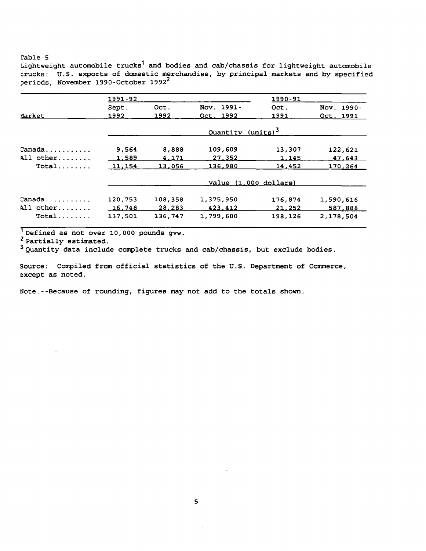#### rable 5

Lightweight automobile trucks<sup>1</sup> and bodies and cab/chassis for lightweight automobile trucks: U.S. exports of domestic merchandise, by principal markets and by specified periods, November 1990-October 1992<sup>2</sup>

|           | 1991-92 |         |                               | 1990-91 |            |  |  |
|-----------|---------|---------|-------------------------------|---------|------------|--|--|
|           | Sept.   | Oct.    | Nov. 1991-                    | Oct.    | Nov. 1990- |  |  |
| Market    | 1992    | 1992    | Oct. 1992                     | 1991    | Oct. 1991  |  |  |
|           |         |         | Quantity (units) <sup>3</sup> |         |            |  |  |
| Canada.   | 9,564   | 8,888   | 109,609                       | 13,307  | 122,621    |  |  |
| All other | 1,589   | 4,171   | 27,352                        | 1,145   | 47,643     |  |  |
| $Total$   | 11,154  | 13,056  | 136,980                       | 14,452  | 170,264    |  |  |
|           |         |         | Value (1,000 dollars)         |         |            |  |  |
| Canada    | 120,753 | 108,358 | 1,375,950                     | 176,874 | 1,590,616  |  |  |
| All other | 16,748  | 28,283  | 423,412                       | 21,252  | 587,888    |  |  |
| $Total$   | 137,501 | 136,747 | 1,799,600                     | 198,126 | 2,178,504  |  |  |

1Defined as not over 10,000 pounds gvw.<br>
<sup>2</sup>Partially estimated.

<sup>3</sup> Quantity data include complete trucks and cab/chassis, but exclude bodies.

Source: Compiled from official statistics of the U.S. Department of Commerce, except as noted.

Note.--Because of rounding, figures may not add to the totals shown.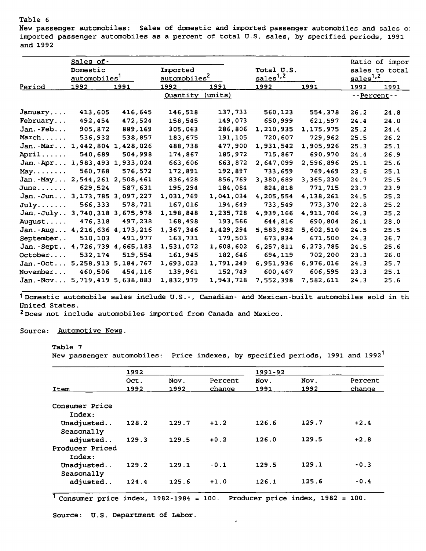New passenger automobiles: Sales of domestic and imported passenger automobiles and sales o: imported passenger automobiles as a percent of total U.S. sales, by specified periods, 1991 and 1992

|                                    | Sales of-                |         |                          |           |                       |           |                               | Ratio of impor |
|------------------------------------|--------------------------|---------|--------------------------|-----------|-----------------------|-----------|-------------------------------|----------------|
|                                    | Domestic                 |         | Imported                 |           | Total U.S.            |           |                               | sales to total |
|                                    | automobiles <sup>1</sup> |         | automobiles <sup>2</sup> |           | $subs$ <sup>1,2</sup> |           | $_{\rm sales}$ <sup>1,2</sup> |                |
| <u>Period</u>                      | 1992                     | 1991    | 1992                     | 1991      | <u> 1992 </u>         | 1991      | 1992                          | 1991           |
|                                    |                          |         | Ouantity                 | (mits)    |                       |           | -- Percent --                 |                |
| January                            | 413,605                  | 416,645 | 146,518                  | 137,733   | 560,123               | 554,378   | 26.2                          | 24.8           |
| February                           | 492,454                  | 472,524 | 158,545                  | 149,073   | 650,999               | 621,597   | 24.4                          | 24.0           |
| $Jan.-Feb$                         | 905,872                  | 889,169 | 305,063                  | 286,806   | 1,210,935             | 1,175,975 | 25.2                          | 24.4           |
| March                              | 536,932                  | 538,857 | 183,675                  | 191,105   | 720,607               | 729,962   | 25.5                          | 26.2           |
| $Jan.-Mar 1,442,804 1,428,026$     |                          |         | 488,738                  | 477,900   | 1,931,542             | 1,905,926 | 25.3                          | 25.1           |
| $April \ldots \ldots$              | 540,689                  | 504,998 | 174,867                  | 185,972   | 715,867               | 690,970   | 24.4                          | 26.9           |
| Jan. - Apr 1, 983, 493 1, 933, 024 |                          |         | 663,606                  | 663,872   | 2,647,099             | 2,596,896 | 25.1                          | 25.6           |
| $May. \ldots \ldots$               | 560,768                  | 576,572 | 172,891                  | 192,897   | 733,659               | 769,469   | 23.6                          | 25.1           |
| $Jan.-May 2,544,261 2,508,461$     |                          |         | 836,428                  | 856,769   | 3,380,689             | 3,365,230 | 24.7                          | 25.5           |
| $June \dots \dots$                 | 629,524                  | 587,631 | 195,294                  | 184,084   | 824,818               | 771,715   | 23.7                          | 23.9           |
| $Jan.-Jun3, 173, 7853, 097, 227$   |                          |         | 1,031,769                | 1,041,034 | 4,205,554             | 4,138,261 | 24.5                          | 25.2           |
| July.                              | 566,333                  | 578,721 | 167,016                  | 194,649   | 733,549               | 773,370   | 22.8                          | 25.2           |
| Jan.-July 3, 740, 318 3, 675, 978  |                          |         | 1,198,848                | 1,235,728 | 4,939,166             | 4,911,706 | 24.3                          | 25.2           |
| August                             | 476,318                  | 497,238 | 168,498                  | 193,566   | 644,816               | 690,804   | 26.1                          | 28.0           |
| $Jan.-Aug4, 216, 6364, 173, 216$   |                          |         | 1,367,346                | 1,429,294 | 5,583,982             | 5,602,510 | 24.5                          | 25.5           |
| September                          | 510,103                  | 491,977 | 163,731                  | 179,503   | 673,834               | 671,500   | 24.3                          | 26.7           |
| Jan.-Sept 4, 726, 739 4, 665, 183  |                          |         | 1,531,072                | 1,608,602 | 6,257,811             | 6,273,785 | 24.5                          | 25.6           |
| October                            | 532,174                  | 519,554 | 161,945                  | 182,646   | 694,119               | 702,200   | 23.3                          | 26.0           |
| $Jan.-Oct 5, 258, 913 5, 184, 767$ |                          |         | 1,693,023                | 1,791,249 | 6,951,936             | 6,976,016 | 24.3                          | 25.7           |
| November                           | 460,506                  | 454,116 | 139,961                  | 152,749   | 600,467               | 606,595   | 23.3                          | 25.1           |
| $Jan.-Nov 5, 719, 419 5, 638, 883$ |                          |         | 1,832,979                | 1,943,728 | 7,552,398             | 7,582,611 | 24.3                          | 25.6           |

1 Domestic automobile sales include U.S.-, Canadian- and Mexican-built automobiles sold in th United States.

2Does not include automobiles imported from Canada and Mexico.

Source: Automotive News.

#### Table 7

New passenger automobiles: Price indexes, by specified periods, 1991 and 1992<sup>1</sup>

|                                       | 1992  |       |         | 1991-92 |       |         |  |  |  |
|---------------------------------------|-------|-------|---------|---------|-------|---------|--|--|--|
|                                       | Oct.  | Nov.  | Percent | Nov.    | Nov.  | Percent |  |  |  |
| Item                                  | 1992  | 1992  | change  | 1991    | 1992  | change  |  |  |  |
| Consumer Price<br>Index:              |       |       |         |         |       |         |  |  |  |
| Unadjusted<br>Seasonally              | 128.2 | 129.7 | $+1.2$  | 126.6   | 129.7 | $+2.4$  |  |  |  |
| adjusted<br>Producer Priced<br>Index: | 129.3 | 129.5 | $+0.2$  | 126.0   | 129.5 | $+2.8$  |  |  |  |
| Unadjusted<br>Seasonally              | 129.2 | 129.1 | $-0.1$  | 129.5   | 129.1 | $-0.3$  |  |  |  |
| adjusted                              | 124.4 | 125.6 | $+1.0$  | 126.1   | 125.6 | $-0.4$  |  |  |  |

 $\frac{1}{1}$  Consumer price index, 1982-1984 = 100. Producer price index, 1982 = 100.

 $\epsilon$ 

Source: U.S. Department of Labor.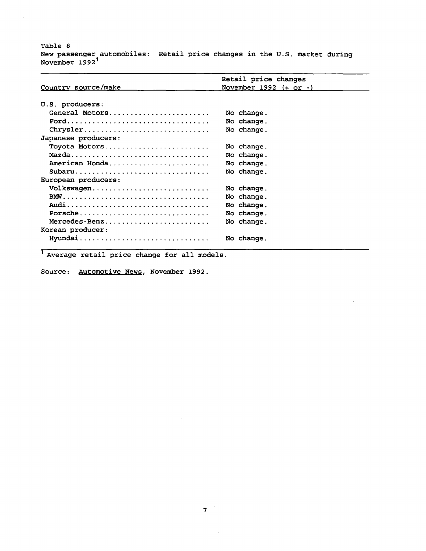New passenger automobiles: Retail price changes in the U.S. market during November 1992<sup>1</sup>

|                                                                          | Retail price changes     |
|--------------------------------------------------------------------------|--------------------------|
| Country source/make                                                      | November 1992 $(+ or -)$ |
|                                                                          |                          |
| U.S. producers:                                                          |                          |
| General Motors                                                           | No change.               |
|                                                                          | No change.               |
| Chrysler                                                                 | No change.               |
| Japanese producers:                                                      |                          |
| Toyota Motors                                                            | No change.               |
|                                                                          | No change.               |
| American Honda                                                           | No change.               |
| Subaru                                                                   | No change.               |
| European producers:                                                      |                          |
| Volkswagen                                                               | No change.               |
|                                                                          | No change.               |
|                                                                          | No change.               |
| Porsche                                                                  | No change.               |
| Mercedes-Benz                                                            | No change.               |
| Korean producer:                                                         |                          |
| $Hyundai \ldots \ldots \ldots \ldots \ldots \ldots \ldots \ldots \ldots$ | No change.               |

Average retail price change for all models.

Source: Automotive News, November 1992.

 $7<sup>2</sup>$